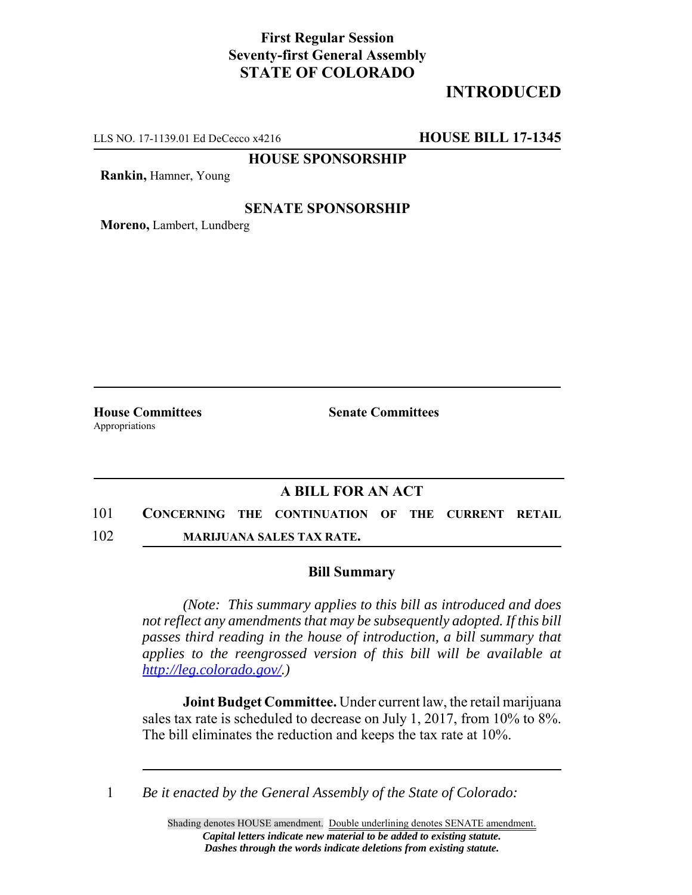## **First Regular Session Seventy-first General Assembly STATE OF COLORADO**

# **INTRODUCED**

LLS NO. 17-1139.01 Ed DeCecco x4216 **HOUSE BILL 17-1345**

**HOUSE SPONSORSHIP**

**Rankin,** Hamner, Young

### **SENATE SPONSORSHIP**

**Moreno,** Lambert, Lundberg

Appropriations

**House Committees Senate Committees** 

### **A BILL FOR AN ACT**

101 **CONCERNING THE CONTINUATION OF THE CURRENT RETAIL**

102 **MARIJUANA SALES TAX RATE.**

#### **Bill Summary**

*(Note: This summary applies to this bill as introduced and does not reflect any amendments that may be subsequently adopted. If this bill passes third reading in the house of introduction, a bill summary that applies to the reengrossed version of this bill will be available at http://leg.colorado.gov/.)*

**Joint Budget Committee.** Under current law, the retail marijuana sales tax rate is scheduled to decrease on July 1, 2017, from 10% to 8%. The bill eliminates the reduction and keeps the tax rate at 10%.

1 *Be it enacted by the General Assembly of the State of Colorado:*